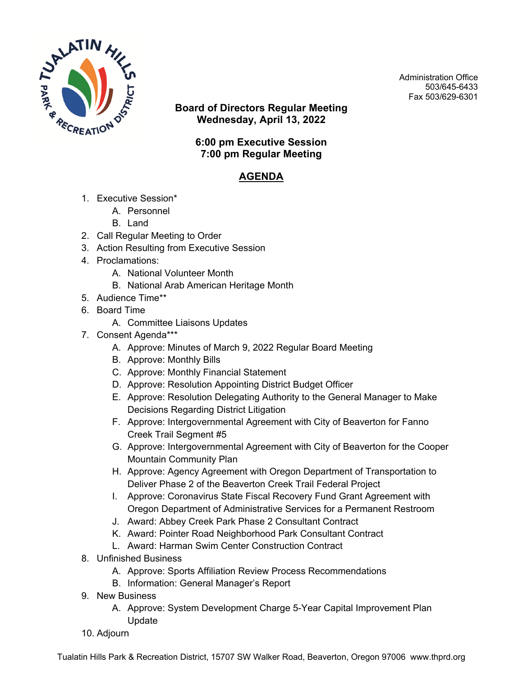

**Board of Directors Regular Meeting Wednesday, April 13, 2022**

Administration Office 503/645-6433 Fax 503/629-6301

## **6:00 pm Executive Session 7:00 pm Regular Meeting**

## **AGENDA**

- 1. Executive Session\*
	- A. Personnel
	- B. Land
- 2. Call Regular Meeting to Order
- 3. Action Resulting from Executive Session
- 4. Proclamations:
	- A. National Volunteer Month
	- B. National Arab American Heritage Month
- 5. Audience Time\*\*
- 6. Board Time
	- A. Committee Liaisons Updates
- 7. Consent Agenda\*\*\*
	- A. Approve: Minutes of March 9, 2022 Regular Board Meeting
	- B. Approve: Monthly Bills
	- C. Approve: Monthly Financial Statement
	- D. Approve: Resolution Appointing District Budget Officer
	- E. Approve: Resolution Delegating Authority to the General Manager to Make Decisions Regarding District Litigation
	- F. Approve: Intergovernmental Agreement with City of Beaverton for Fanno Creek Trail Segment #5
	- G. Approve: Intergovernmental Agreement with City of Beaverton for the Cooper Mountain Community Plan
	- H. Approve: Agency Agreement with Oregon Department of Transportation to Deliver Phase 2 of the Beaverton Creek Trail Federal Project
	- I. Approve: Coronavirus State Fiscal Recovery Fund Grant Agreement with Oregon Department of Administrative Services for a Permanent Restroom
	- J. Award: Abbey Creek Park Phase 2 Consultant Contract
	- K. Award: Pointer Road Neighborhood Park Consultant Contract
	- L. Award: Harman Swim Center Construction Contract
- 8. Unfinished Business
	- A. Approve: Sports Affiliation Review Process Recommendations
	- B. Information: General Manager's Report
- 9. New Business
	- A. Approve: System Development Charge 5-Year Capital Improvement Plan Update
- 10. Adjourn